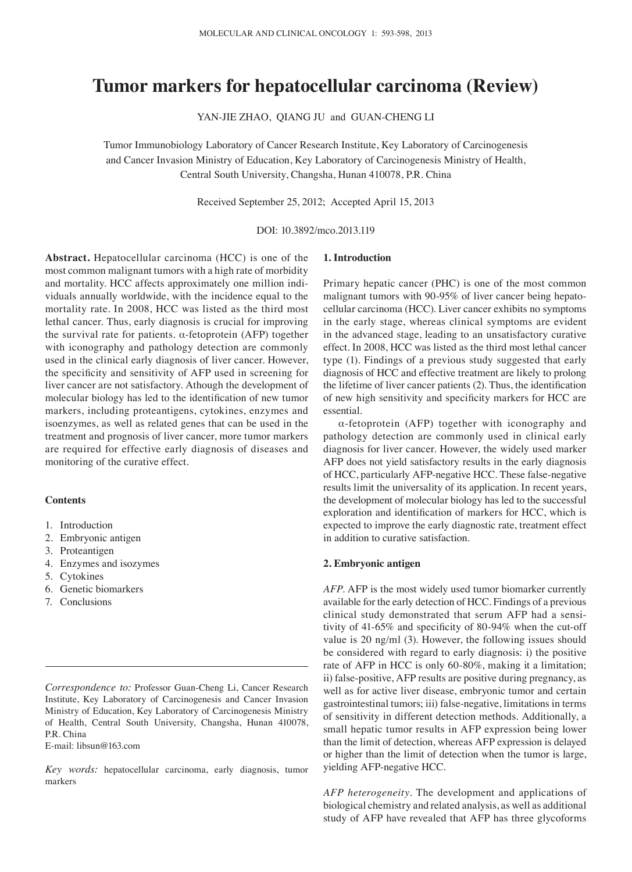# **Tumor markers for hepatocellular carcinoma (Review)**

YAN-JIE ZHAO, QIANG JU and GUAN-CHENG LI

Tumor Immunobiology Laboratory of Cancer Research Institute, Key Laboratory of Carcinogenesis and Cancer Invasion Ministry of Education, Key Laboratory of Carcinogenesis Ministry of Health, Central South University, Changsha, Hunan 410078, P.R. China

Received September 25, 2012; Accepted April 15, 2013

DOI: 10.3892/mco.2013.119

**Abstract.** Hepatocellular carcinoma (HCC) is one of the most common malignant tumors with a high rate of morbidity and mortality. HCC affects approximately one million individuals annually worldwide, with the incidence equal to the mortality rate. In 2008, HCC was listed as the third most lethal cancer. Thus, early diagnosis is crucial for improving the survival rate for patients. α-fetoprotein (AFP) together with iconography and pathology detection are commonly used in the clinical early diagnosis of liver cancer. However, the specificity and sensitivity of AFP used in screening for liver cancer are not satisfactory. Athough the development of molecular biology has led to the identification of new tumor markers, including proteantigens, cytokines, enzymes and isoenzymes, as well as related genes that can be used in the treatment and prognosis of liver cancer, more tumor markers are required for effective early diagnosis of diseases and monitoring of the curative effect.

## **Contents**

- 1. Introduction
- 2. Embryonic antigen
- 3. Proteantigen
- 4. Enzymes and isozymes
- 5. Cytokines
- 6. Genetic biomarkers
- 7. Conclusions

E-mail: libsun@163.com

*Key words:* hepatocellular carcinoma, early diagnosis, tumor markers

#### **1. Introduction**

Primary hepatic cancer (PHC) is one of the most common malignant tumors with 90-95% of liver cancer being hepatocellular carcinoma (HCC). Liver cancer exhibits no symptoms in the early stage, whereas clinical symptoms are evident in the advanced stage, leading to an unsatisfactory curative effect. In 2008, HCC was listed as the third most lethal cancer type (1). Findings of a previous study suggested that early diagnosis of HCC and effective treatment are likely to prolong the lifetime of liver cancer patients (2). Thus, the identification of new high sensitivity and specificity markers for HCC are essential.

α-fetoprotein (AFP) together with iconography and pathology detection are commonly used in clinical early diagnosis for liver cancer. However, the widely used marker AFP does not yield satisfactory results in the early diagnosis of HCC, particularly AFP-negative HCC. These false-negative results limit the universality of its application. In recent years, the development of molecular biology has led to the successful exploration and identification of markers for HCC, which is expected to improve the early diagnostic rate, treatment effect in addition to curative satisfaction.

## **2. Embryonic antigen**

*AFP.* AFP is the most widely used tumor biomarker currently available for the early detection of HCC. Findings of a previous clinical study demonstrated that serum AFP had a sensitivity of 41-65% and specificity of 80-94% when the cut-off value is 20 ng/ml (3). However, the following issues should be considered with regard to early diagnosis: i) the positive rate of AFP in HCC is only 60-80%, making it a limitation; ii) false-positive, AFP results are positive during pregnancy, as well as for active liver disease, embryonic tumor and certain gastrointestinal tumors; iii) false-negative, limitations in terms of sensitivity in different detection methods. Additionally, a small hepatic tumor results in AFP expression being lower than the limit of detection, whereas AFP expression is delayed or higher than the limit of detection when the tumor is large, yielding AFP-negative HCC.

*AFP heterogeneity.* The development and applications of biological chemistry and related analysis, as well as additional study of AFP have revealed that AFP has three glycoforms

*Correspondence to:* Professor Guan-Cheng Li, Cancer Research Institute, Key Laboratory of Carcinogenesis and Cancer Invasion Ministry of Education, Key Laboratory of Carcinogenesis Ministry of Health, Central South University, Changsha, Hunan 410078, P.R. China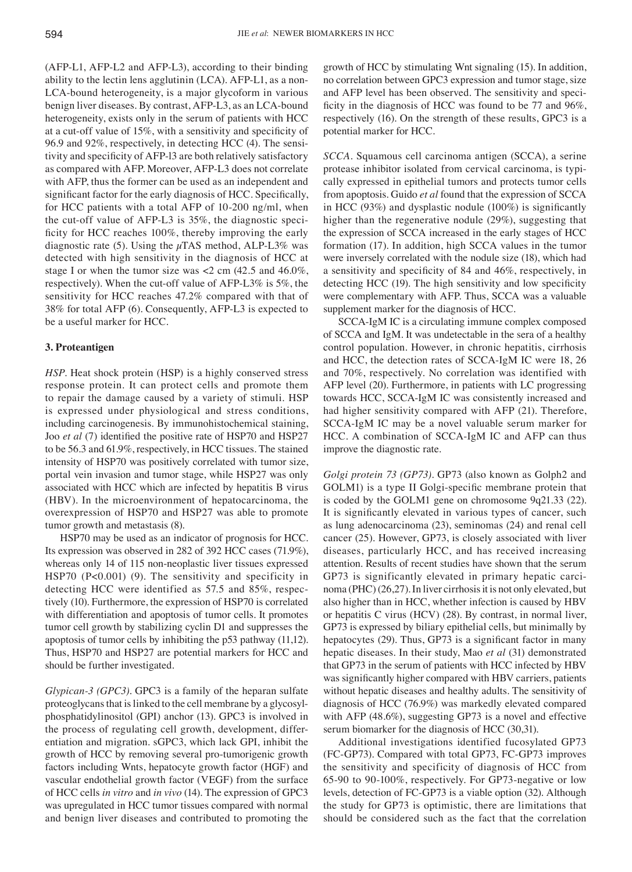(AFP-L1, AFP-L2 and AFP-L3), according to their binding ability to the lectin lens agglutinin (LCA). AFP-L1, as a non-LCA-bound heterogeneity, is a major glycoform in various benign liver diseases. By contrast, AFP-L3, as an LCA-bound heterogeneity, exists only in the serum of patients with HCC at a cut-off value of 15%, with a sensitivity and specificity of 96.9 and 92%, respectively, in detecting HCC (4). The sensitivity and specificity of AFP-l3 are both relatively satisfactory as compared with AFP. Moreover, AFP-L3 does not correlate with AFP, thus the former can be used as an independent and significant factor for the early diagnosis of HCC. Specifically, for HCC patients with a total AFP of 10-200 ng/ml, when the cut-off value of AFP-L3 is 35%, the diagnostic specificity for HCC reaches 100%, thereby improving the early diagnostic rate (5). Using the  $\mu$ TAS method, ALP-L3% was detected with high sensitivity in the diagnosis of HCC at stage I or when the tumor size was <2 cm (42.5 and 46.0%, respectively). When the cut-off value of AFP-L3% is 5%, the sensitivity for HCC reaches 47.2% compared with that of 38% for total AFP (6). Consequently, AFP-L3 is expected to be a useful marker for HCC.

### **3. Proteantigen**

*HSP*. Heat shock protein (HSP) is a highly conserved stress response protein. It can protect cells and promote them to repair the damage caused by a variety of stimuli. HSP is expressed under physiological and stress conditions, including carcinogenesis. By immunohistochemical staining, Joo *et al* (7) identified the positive rate of HSP70 and HSP27 to be 56.3 and 61.9%, respectively, in HCC tissues. The stained intensity of HSP70 was positively correlated with tumor size, portal vein invasion and tumor stage, while HSP27 was only associated with HCC which are infected by hepatitis B virus (HBV). In the microenvironment of hepatocarcinoma, the overexpression of HSP70 and HSP27 was able to promote tumor growth and metastasis (8).

HSP70 may be used as an indicator of prognosis for HCC. Its expression was observed in 282 of 392 HCC cases (71.9%), whereas only 14 of 115 non-neoplastic liver tissues expressed HSP70 (P<0.001) (9). The sensitivity and specificity in detecting HCC were identified as 57.5 and 85%, respectively (10). Furthermore, the expression of HSP70 is correlated with differentiation and apoptosis of tumor cells. It promotes tumor cell growth by stabilizing cyclin D1 and suppresses the apoptosis of tumor cells by inhibiting the p53 pathway (11,12). Thus, HSP70 and HSP27 are potential markers for HCC and should be further investigated.

*Glypican-3 (GPC3).* GPC3 is a family of the heparan sulfate proteoglycans that is linked to the cell membrane by a glycosylphosphatidylinositol (GPI) anchor (13). GPC3 is involved in the process of regulating cell growth, development, differentiation and migration. sGPC3, which lack GPI, inhibit the growth of HCC by removing several pro-tumorigenic growth factors including Wnts, hepatocyte growth factor (HGF) and vascular endothelial growth factor (VEGF) from the surface of HCC cells *in vitro* and *in vivo* (14). The expression of GPC3 was upregulated in HCC tumor tissues compared with normal and benign liver diseases and contributed to promoting the growth of HCC by stimulating Wnt signaling (15). In addition, no correlation between GPC3 expression and tumor stage, size and AFP level has been observed. The sensitivity and specificity in the diagnosis of HCC was found to be 77 and 96%, respectively (16). On the strength of these results, GPC3 is a potential marker for HCC.

*SCCA.* Squamous cell carcinoma antigen (SCCA), a serine protease inhibitor isolated from cervical carcinoma, is typically expressed in epithelial tumors and protects tumor cells from apoptosis. Guido *et al* found that the expression of SCCA in HCC (93%) and dysplastic nodule (100%) is significantly higher than the regenerative nodule (29%), suggesting that the expression of SCCA increased in the early stages of HCC formation (17). In addition, high SCCA values in the tumor were inversely correlated with the nodule size (18), which had a sensitivity and specificity of 84 and 46%, respectively, in detecting HCC (19). The high sensitivity and low specificity were complementary with AFP. Thus, SCCA was a valuable supplement marker for the diagnosis of HCC.

SCCA-IgM IC is a circulating immune complex composed of SCCA and IgM. It was undetectable in the sera of a healthy control population. However, in chronic hepatitis, cirrhosis and HCC, the detection rates of SCCA-IgM IC were 18, 26 and 70%, respectively. No correlation was identified with AFP level (20). Furthermore, in patients with LC progressing towards HCC, SCCA-IgM IC was consistently increased and had higher sensitivity compared with AFP (21). Therefore, SCCA-IgM IC may be a novel valuable serum marker for HCC. A combination of SCCA-IgM IC and AFP can thus improve the diagnostic rate.

*Golgi protein 73 (GP73).* GP73 (also known as Golph2 and GOLM1) is a type II Golgi-specific membrane protein that is coded by the GOLM1 gene on chromosome 9q21.33 (22). It is significantly elevated in various types of cancer, such as lung adenocarcinoma (23), seminomas (24) and renal cell cancer (25). However, GP73, is closely associated with liver diseases, particularly HCC, and has received increasing attention. Results of recent studies have shown that the serum GP73 is significantly elevated in primary hepatic carcinoma (PHC)(26,27). In liver cirrhosis it is not only elevated, but also higher than in HCC, whether infection is caused by HBV or hepatitis C virus (HCV) (28). By contrast, in normal liver, GP73 is expressed by biliary epithelial cells, but minimally by hepatocytes (29). Thus, GP73 is a significant factor in many hepatic diseases. In their study, Mao *et al* (31) demonstrated that GP73 in the serum of patients with HCC infected by HBV was significantly higher compared with HBV carriers, patients without hepatic diseases and healthy adults. The sensitivity of diagnosis of HCC (76.9%) was markedly elevated compared with AFP (48.6%), suggesting GP73 is a novel and effective serum biomarker for the diagnosis of HCC (30,31).

Additional investigations identified fucosylated GP73 (FC-GP73). Compared with total GP73, FC-GP73 improves the sensitivity and specificity of diagnosis of HCC from 65-90 to 90-100%, respectively. For GP73-negative or low levels, detection of FC-GP73 is a viable option (32). Although the study for GP73 is optimistic, there are limitations that should be considered such as the fact that the correlation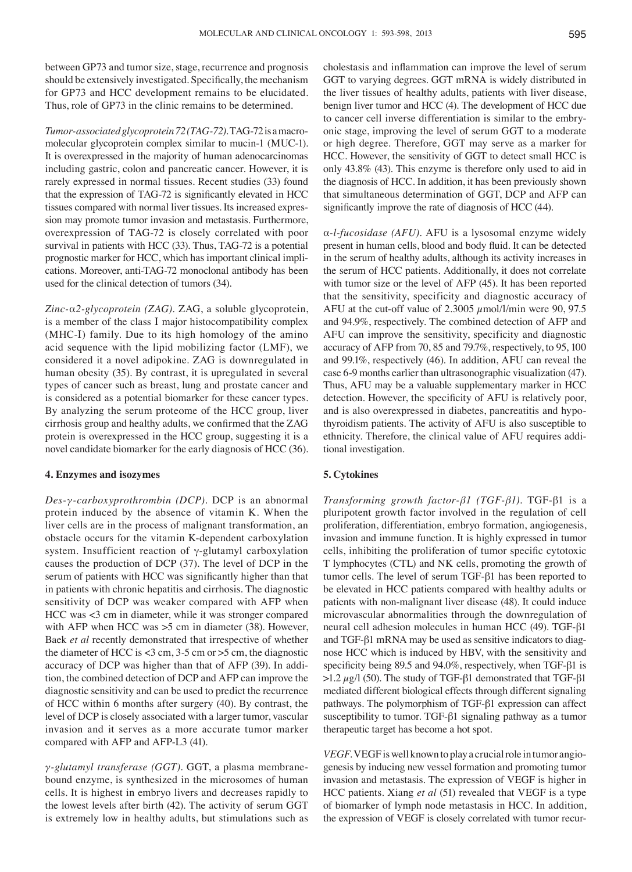between GP73 and tumor size, stage, recurrence and prognosis should be extensively investigated. Specifically, the mechanism for GP73 and HCC development remains to be elucidated. Thus, role of GP73 in the clinic remains to be determined.

*Tumor-associated glycoprotein 72 (TAG-72).* TAG-72 is a macromolecular glycoprotein complex similar to mucin-1 (MUC-1). It is overexpressed in the majority of human adenocarcinomas including gastric, colon and pancreatic cancer. However, it is rarely expressed in normal tissues. Recent studies (33) found that the expression of TAG-72 is significantly elevated in HCC tissues compared with normal liver tissues. Its increased expression may promote tumor invasion and metastasis. Furthermore, overexpression of TAG-72 is closely correlated with poor survival in patients with HCC (33). Thus, TAG-72 is a potential prognostic marker for HCC, which has important clinical implications. Moreover, anti-TAG-72 monoclonal antibody has been used for the clinical detection of tumors (34).

*Zinc-*α*2-glycoprotein (ZAG).* ZAG, a soluble glycoprotein, is a member of the class Ι major histocompatibility complex (MHC-Ι) family. Due to its high homology of the amino acid sequence with the lipid mobilizing factor (LMF), we considered it a novel adipokine. ZAG is downregulated in human obesity (35). By contrast, it is upregulated in several types of cancer such as breast, lung and prostate cancer and is considered as a potential biomarker for these cancer types. By analyzing the serum proteome of the HCC group, liver cirrhosis group and healthy adults, we confirmed that the ZAG protein is overexpressed in the HCC group, suggesting it is a novel candidate biomarker for the early diagnosis of HCC (36).

## **4. Enzymes and isozymes**

*Des-γ-carboxyprothrombin (DCP).* DCP is an abnormal protein induced by the absence of vitamin K. When the liver cells are in the process of malignant transformation, an obstacle occurs for the vitamin K-dependent carboxylation system. Insufficient reaction of γ-glutamyl carboxylation causes the production of DCP (37). The level of DCP in the serum of patients with HCC was significantly higher than that in patients with chronic hepatitis and cirrhosis. The diagnostic sensitivity of DCP was weaker compared with AFP when HCC was <3 cm in diameter, while it was stronger compared with AFP when HCC was  $>5$  cm in diameter (38). However, Baek *et al* recently demonstrated that irrespective of whether the diameter of HCC is  $<$ 3 cm, 3-5 cm or  $>$ 5 cm, the diagnostic accuracy of DCP was higher than that of AFP (39). In addition, the combined detection of DCP and AFP can improve the diagnostic sensitivity and can be used to predict the recurrence of HCC within 6 months after surgery (40). By contrast, the level of DCP is closely associated with a larger tumor, vascular invasion and it serves as a more accurate tumor marker compared with AFP and AFP-L3 (41).

*γ-glutamyl transferase (GGT).* GGT, a plasma membranebound enzyme, is synthesized in the microsomes of human cells. It is highest in embryo livers and decreases rapidly to the lowest levels after birth (42). The activity of serum GGT is extremely low in healthy adults, but stimulations such as cholestasis and inflammation can improve the level of serum GGT to varying degrees. GGT mRNA is widely distributed in the liver tissues of healthy adults, patients with liver disease, benign liver tumor and HCC (4). The development of HCC due to cancer cell inverse differentiation is similar to the embryonic stage, improving the level of serum GGT to a moderate or high degree. Therefore, GGT may serve as a marker for HCC. However, the sensitivity of GGT to detect small HCC is only 43.8% (43). This enzyme is therefore only used to aid in the diagnosis of HCC. In addition, it has been previously shown that simultaneous determination of GGT, DCP and AFP can significantly improve the rate of diagnosis of HCC (44).

α*-l-fucosidase (AFU).* AFU is a lysosomal enzyme widely present in human cells, blood and body fluid. It can be detected in the serum of healthy adults, although its activity increases in the serum of HCC patients. Additionally, it does not correlate with tumor size or the level of AFP (45). It has been reported that the sensitivity, specificity and diagnostic accuracy of AFU at the cut-off value of 2.3005  $\mu$ mol/l/min were 90, 97.5 and 94.9%, respectively. The combined detection of AFP and AFU can improve the sensitivity, specificity and diagnostic accuracy of AFP from 70, 85 and 79.7%, respectively, to 95, 100 and 99.1%, respectively (46). In addition, AFU can reveal the case 6-9 months earlier than ultrasonographic visualization (47). Thus, AFU may be a valuable supplementary marker in HCC detection. However, the specificity of AFU is relatively poor, and is also overexpressed in diabetes, pancreatitis and hypothyroidism patients. The activity of AFU is also susceptible to ethnicity. Therefore, the clinical value of AFU requires additional investigation.

## **5. Cytokines**

*Transforming growth factor-β1 (TGF-β1).* TGF-β1 is a pluripotent growth factor involved in the regulation of cell proliferation, differentiation, embryo formation, angiogenesis, invasion and immune function. It is highly expressed in tumor cells, inhibiting the proliferation of tumor specific cytotoxic T lymphocytes (CTL) and NK cells, promoting the growth of tumor cells. The level of serum TGF-β1 has been reported to be elevated in HCC patients compared with healthy adults or patients with non-malignant liver disease (48). It could induce microvascular abnormalities through the downregulation of neural cell adhesion molecules in human HCC (49). TGF-β1 and TGF-β1 mRNA may be used as sensitive indicators to diagnose HCC which is induced by HBV, with the sensitivity and specificity being 89.5 and 94.0%, respectively, when TGF-β1 is >1.2  $\mu$ g/l (50). The study of TGF-β1 demonstrated that TGF-β1 mediated different biological effects through different signaling pathways. The polymorphism of TGF-β1 expression can affect susceptibility to tumor. TGF-β1 signaling pathway as a tumor therapeutic target has become a hot spot.

*VEGF.* VEGF is well known to play a crucial role in tumor angiogenesis by inducing new vessel formation and promoting tumor invasion and metastasis. The expression of VEGF is higher in HCC patients. Xiang *et al* (51) revealed that VEGF is a type of biomarker of lymph node metastasis in HCC. In addition, the expression of VEGF is closely correlated with tumor recur-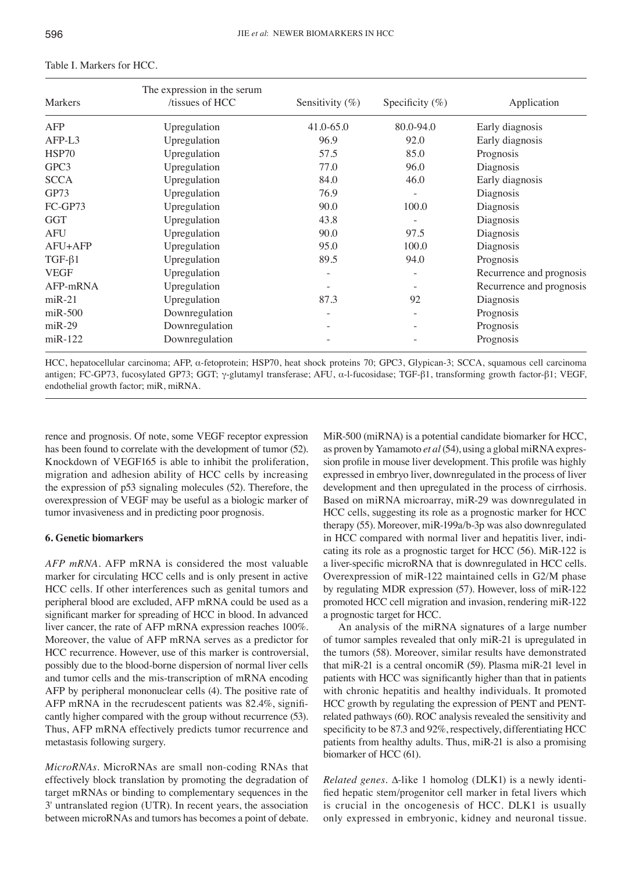| <b>Markers</b> | The expression in the serum<br>tissues of HCC | Sensitivity $(\%)$ | Specificity $(\%)$ | Application              |
|----------------|-----------------------------------------------|--------------------|--------------------|--------------------------|
| AFP            | Upregulation                                  | 41.0-65.0          | 80.0-94.0          | Early diagnosis          |
| AFP-L3         | Upregulation                                  | 96.9               | 92.0               | Early diagnosis          |
| HSP70          | Upregulation                                  | 57.5               | 85.0               | Prognosis                |
| GPC3           | Upregulation                                  | 77.0               | 96.0               | Diagnosis                |
| <b>SCCA</b>    | Upregulation                                  | 84.0               | 46.0               | Early diagnosis          |
| GP73           | Upregulation                                  | 76.9               |                    | Diagnosis                |
| FC-GP73        | Upregulation                                  | 90.0               | 100.0              | Diagnosis                |
| <b>GGT</b>     | Upregulation                                  | 43.8               |                    | Diagnosis                |
| <b>AFU</b>     | Upregulation                                  | 90.0               | 97.5               | Diagnosis                |
| AFU+AFP        | Upregulation                                  | 95.0               | 100.0              | Diagnosis                |
| $TGF-\beta1$   | Upregulation                                  | 89.5               | 94.0               | Prognosis                |
| <b>VEGF</b>    | Upregulation                                  | $\overline{a}$     | $\overline{a}$     | Recurrence and prognosis |
| AFP-mRNA       | Upregulation                                  |                    |                    | Recurrence and prognosis |
| $m$ i $R-21$   | Upregulation                                  | 87.3               | 92                 | Diagnosis                |
| $m$ i $R-500$  | Downregulation                                | $\overline{a}$     | $\overline{a}$     | Prognosis                |
| $m$ i $R-29$   | Downregulation                                | $\overline{a}$     |                    | Prognosis                |
| $m$ i $R-122$  | Downregulation                                |                    |                    | Prognosis                |

#### Table I. Markers for HCC.

HCC, hepatocellular carcinoma; AFP, α-fetoprotein; HSP70, heat shock proteins 70; GPC3, Glypican-3; SCCA, squamous cell carcinoma antigen; FC-GP73, fucosylated GP73; GGT; γ-glutamyl transferase; AFU, α-l-fucosidase; TGF-β1, transforming growth factor-β1; VEGF, endothelial growth factor; miR, miRNA.

rence and prognosis. Of note, some VEGF receptor expression has been found to correlate with the development of tumor (52). Knockdown of VEGF165 is able to inhibit the proliferation, migration and adhesion ability of HCC cells by increasing the expression of p53 signaling molecules (52). Therefore, the overexpression of VEGF may be useful as a biologic marker of tumor invasiveness and in predicting poor prognosis.

## **6. Genetic biomarkers**

*AFP mRNA.* AFP mRNA is considered the most valuable marker for circulating HCC cells and is only present in active HCC cells. If other interferences such as genital tumors and peripheral blood are excluded, AFP mRNA could be used as a significant marker for spreading of HCC in blood. In advanced liver cancer, the rate of AFP mRNA expression reaches 100%. Moreover, the value of AFP mRNA serves as a predictor for HCC recurrence. However, use of this marker is controversial, possibly due to the blood-borne dispersion of normal liver cells and tumor cells and the mis-transcription of mRNA encoding AFP by peripheral mononuclear cells (4). The positive rate of AFP mRNA in the recrudescent patients was 82.4%, significantly higher compared with the group without recurrence (53). Thus, AFP mRNA effectively predicts tumor recurrence and metastasis following surgery.

*MicroRNAs.* MicroRNAs are small non-coding RNAs that effectively block translation by promoting the degradation of target mRNAs or binding to complementary sequences in the 3' untranslated region (UTR). In recent years, the association between microRNAs and tumors has becomes a point of debate. MiR-500 (miRNA) is a potential candidate biomarker for HCC, as proven by Yamamoto *et al*(54), using a global miRNA expression profile in mouse liver development. This profile was highly expressed in embryo liver, downregulated in the process of liver development and then upregulated in the process of cirrhosis. Based on miRNA microarray, miR-29 was downregulated in HCC cells, suggesting its role as a prognostic marker for HCC therapy (55). Moreover, miR-199a/b-3p was also downregulated in HCC compared with normal liver and hepatitis liver, indicating its role as a prognostic target for HCC (56). MiR-122 is a liver-specific microRNA that is downregulated in HCC cells. Overexpression of miR-122 maintained cells in G2/M phase by regulating MDR expression (57). However, loss of miR-122 promoted HCC cell migration and invasion, rendering miR-122 a prognostic target for HCC.

An analysis of the miRNA signatures of a large number of tumor samples revealed that only miR-21 is upregulated in the tumors (58). Moreover, similar results have demonstrated that miR-21 is a central oncomiR (59). Plasma miR-21 level in patients with HCC was significantly higher than that in patients with chronic hepatitis and healthy individuals. It promoted HCC growth by regulating the expression of PENT and PENTrelated pathways (60). ROC analysis revealed the sensitivity and specificity to be 87.3 and 92%, respectively, differentiating HCC patients from healthy adults. Thus, miR-21 is also a promising biomarker of HCC (61).

*Related genes.* ∆-like 1 homolog (DLK1) is a newly identified hepatic stem/progenitor cell marker in fetal livers which is crucial in the oncogenesis of HCC. DLK1 is usually only expressed in embryonic, kidney and neuronal tissue.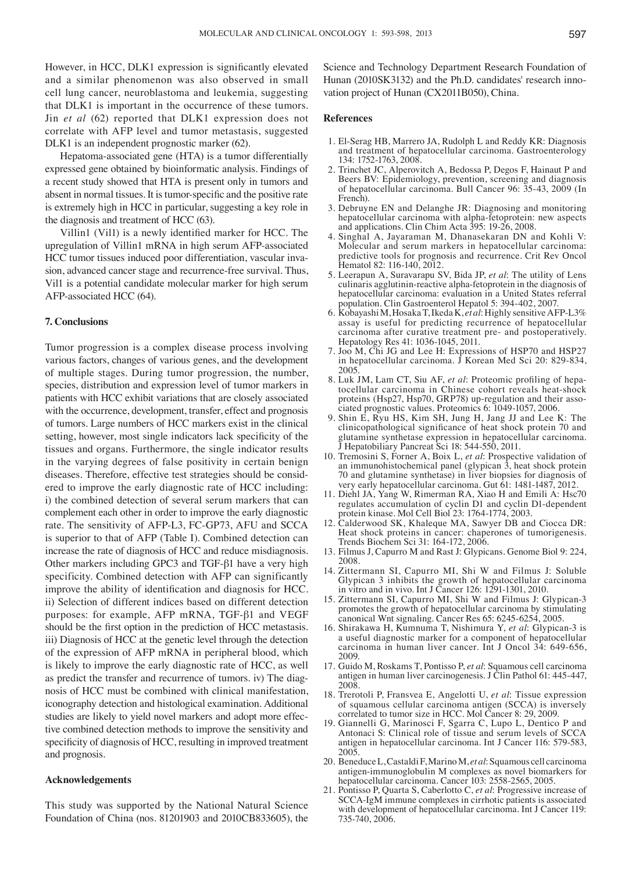However, in HCC, DLK1 expression is significantly elevated and a similar phenomenon was also observed in small cell lung cancer, neuroblastoma and leukemia, suggesting that DLK1 is important in the occurrence of these tumors. Jin *et al* (62) reported that DLK1 expression does not correlate with AFP level and tumor metastasis, suggested DLK1 is an independent prognostic marker (62).

Hepatoma-associated gene (HTA) is a tumor differentially expressed gene obtained by bioinformatic analysis. Findings of a recent study showed that HTA is present only in tumors and absent in normal tissues. It is tumor-specific and the positive rate is extremely high in HCC in particular, suggesting a key role in the diagnosis and treatment of HCC (63).

Villin1 (Vil1) is a newly identified marker for HCC. The upregulation of Villin1 mRNA in high serum AFP-associated HCC tumor tissues induced poor differentiation, vascular invasion, advanced cancer stage and recurrence-free survival. Thus, Vil1 is a potential candidate molecular marker for high serum AFP-associated HCC (64).

#### **7. Conclusions**

Tumor progression is a complex disease process involving various factors, changes of various genes, and the development of multiple stages. During tumor progression, the number, species, distribution and expression level of tumor markers in patients with HCC exhibit variations that are closely associated with the occurrence, development, transfer, effect and prognosis of tumors. Large numbers of HCC markers exist in the clinical setting, however, most single indicators lack specificity of the tissues and organs. Furthermore, the single indicator results in the varying degrees of false positivity in certain benign diseases. Therefore, effective test strategies should be considered to improve the early diagnostic rate of HCC including: i) the combined detection of several serum markers that can complement each other in order to improve the early diagnostic rate. The sensitivity of AFP-L3, FC-GP73, AFU and SCCA is superior to that of AFP (Table I). Combined detection can increase the rate of diagnosis of HCC and reduce misdiagnosis. Other markers including GPC3 and TGF-β1 have a very high specificity. Combined detection with AFP can significantly improve the ability of identification and diagnosis for HCC. ii) Selection of different indices based on different detection purposes: for example, AFP mRNA, TGF-β1 and VEGF should be the first option in the prediction of HCC metastasis. iii) Diagnosis of HCC at the genetic level through the detection of the expression of AFP mRNA in peripheral blood, which is likely to improve the early diagnostic rate of HCC, as well as predict the transfer and recurrence of tumors. iv) The diagnosis of HCC must be combined with clinical manifestation, iconography detection and histological examination. Additional studies are likely to yield novel markers and adopt more effective combined detection methods to improve the sensitivity and specificity of diagnosis of HCC, resulting in improved treatment and prognosis.

#### **Acknowledgements**

This study was supported by the National Natural Science Foundation of China (nos. 81201903 and 2010CB833605), the

Science and Technology Department Research Foundation of Hunan (2010SK3132) and the Ph.D. candidates' research innovation project of Hunan (CX2011B050), China.

#### **References**

- 1. El-Serag HB, Marrero JA, Rudolph L and Reddy KR: Diagnosis and treatment of hepatocellular carcinoma. Gastroenterology 134: 1752-1763, 2008.
- 2. Trinchet JC, Alperovitch A, Bedossa P, Degos F, Hainaut P and Beers BV: Epidemiology, prevention, screening and diagnosis of hepatocellular carcinoma. Bull Cancer 96: 35-43, 2009 (In French).
- 3. Debruyne EN and Delanghe JR: Diagnosing and monitoring hepatocellular carcinoma with alpha-fetoprotein: new aspects and applications. Clin Chim Acta 395: 19-26, 2008.
- 4. Singhal A, Jayaraman M, Dhanasekaran DN and Kohli V: Molecular and serum markers in hepatocellular carcinoma: predictive tools for prognosis and recurrence. Crit Rev Oncol Hematol 82: 116-140, 2012.
- 5. Leerapun A, Suravarapu SV, Bida JP, *et al*: The utility of Lens culinaris agglutinin-reactive alpha-fetoprotein in the diagnosis of hepatocellular carcinoma: evaluation in a United States referral population. Clin Gastroenterol Hepatol 5: 394-402, 2007.
- 6. Kobayashi M, Hosaka T, Ikeda K, *et al*: Highly sensitive AFP-L3% assay is useful for predicting recurrence of hepatocellular carcinoma after curative treatment pre- and postoperatively. Hepatology Res 41: 1036-1045, 2011.
- 7. Joo M, Chi JG and Lee H: Expressions of HSP70 and HSP27 in hepatocellular carcinoma. J Korean Med Sci 20: 829-834, 2005.<br>8. Luk JM, Lam CT, Siu AF, et al: Proteomic profiling of hepa-
- tocellular carcinoma in Chinese cohort reveals heat-shock proteins (Hsp27, Hsp70, GRP78) up-regulation and their associated prognostic values. Proteomics 6: 1049-1057, 2006.
- 9. Shin E, Ryu HS, Kim SH, Jung H, Jang JJ and Lee K: The clinicopathological significance of heat shock protein 70 and glutamine synthetase expression in hepatocellular carcinoma.<br>
I Hepatobiliary Penerest S: 19, 544, 556, 3023 Hepatobiliary Pancreat Sci 18: 544-550, 2011.
- 10. Tremosini S, Forner A, Boix L, *et al*: Prospective validation of an immunohistochemical panel (glypican 3, heat shock protein 70 and glutamine synthetase) in liver biopsies for diagnosis of very early hepatocellular carcinoma. Gut 61: 1481-1487, 2012.
- 11. Diehl JA, Yang W, Rimerman RA, Xiao H and Emili A: Hsc70 regulates accumulation of cyclin D1 and cyclin D1-dependent protein kinase. Mol Cell Biol 23: 1764-1774, 2003.
- 12. Calderwood SK, Khaleque MA, Sawyer DB and Ciocca DR: Heat shock proteins in cancer: chaperones of tumorigenesis. Trends Biochem Sci 31: 164-172, 2006.
- 13. Filmus J, Capurro M and Rast J: Glypicans. Genome Biol 9: 224, 2008.
- 14. Zittermann SI, Capurro MI, Shi W and Filmus J: Soluble Glypican 3 inhibits the growth of hepatocellular carcinoma in vitro and in vivo. Int J Cancer 126: 1291-1301, 2010.
- 15. Zittermann SI, Capurro MI, Shi W and Filmus J: Glypican-3 promotes the growth of hepatocellular carcinoma by stimulating canonical Wnt signaling. Cancer Res 65: 6245-6254, 2005.
- 16. Shirakawa H, Kumnuma T, Nishimura Y, *et al*: Glypican-3 is a useful diagnostic marker for a component of hepatocellular carcinoma in human liver cancer. Int J Oncol 34: 649-656, 2009.
- 17. Guido M, Roskams T, Pontisso P, *et al*: Squamous cell carcinoma antigen in human liver carcinogenesis. J Clin Pathol 61: 445-447, 2008.
- 18. Trerotoli P, Fransvea E, Angelotti U, *et al*: Tissue expression of squamous cellular carcinoma antigen (SCCA) is inversely correlated to tumor size in HCC. Mol Cancer 8: 29, 2009.
- 19. Giannelli G, Marinosci F, Sgarra C, Lupo L, Dentico P and Antonaci S: Clinical role of tissue and serum levels of SCCA antigen in hepatocellular carcinoma. Int J Cancer 116: 579-583, 2005.
- 20. Beneduce L, Castaldi F, Marino M, *et al*: Squamous cell carcinoma antigen-immunoglobulin M complexes as novel biomarkers for hepatocellular carcinoma. Cancer 103: 2558-2565, 2005.
- 21. Pontisso P, Quarta S, Caberlotto C, *et al*: Progressive increase of SCCA-IgM immune complexes in cirrhotic patients is associated with development of hepatocellular carcinoma. Int J Cancer 119: 735-740, 2006.